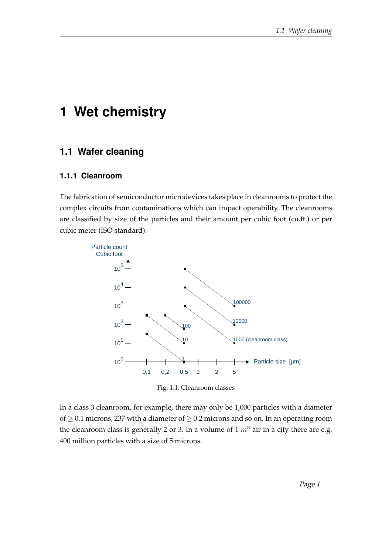# **1 Wet chemistry**

# **1.1 Wafer cleaning**

#### **1.1.1 Cleanroom**

The fabrication of semiconductor microdevices takes place in cleanrooms to protect the complex circuits from contaminations which can impact operability. The cleanrooms are classified by size of the particles and their amount per cubic foot (cu.ft.) or per cubic meter (ISO standard):



Fig. 1.1: Cleanroom classes

In a class 3 cleanroom, for example, there may only be 1,000 particles with a diameter of  $\geq$  0.1 microns, 237 with a diameter of  $\geq$  0.2 microns and so on. In an operating room the cleanroom class is generally 2 or 3. In a volume of 1  $m<sup>3</sup>$  air in a city there are e.g. 400 million particles with a size of 5 microns.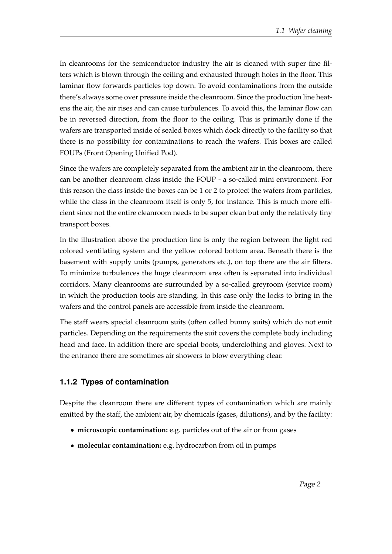In cleanrooms for the semiconductor industry the air is cleaned with super fine filters which is blown through the ceiling and exhausted through holes in the floor. This laminar flow forwards particles top down. To avoid contaminations from the outside there's always some over pressure inside the cleanroom. Since the production line heatens the air, the air rises and can cause turbulences. To avoid this, the laminar flow can be in reversed direction, from the floor to the ceiling. This is primarily done if the wafers are transported inside of sealed boxes which dock directly to the facility so that there is no possibility for contaminations to reach the wafers. This boxes are called FOUPs (Front Opening Unified Pod).

Since the wafers are completely separated from the ambient air in the cleanroom, there can be another cleanroom class inside the FOUP - a so-called mini environment. For this reason the class inside the boxes can be 1 or 2 to protect the wafers from particles, while the class in the cleanroom itself is only 5, for instance. This is much more efficient since not the entire cleanroom needs to be super clean but only the relatively tiny transport boxes.

In the illustration above the production line is only the region between the light red colored ventilating system and the yellow colored bottom area. Beneath there is the basement with supply units (pumps, generators etc.), on top there are the air filters. To minimize turbulences the huge cleanroom area often is separated into individual corridors. Many cleanrooms are surrounded by a so-called greyroom (service room) in which the production tools are standing. In this case only the locks to bring in the wafers and the control panels are accessible from inside the cleanroom.

The staff wears special cleanroom suits (often called bunny suits) which do not emit particles. Depending on the requirements the suit covers the complete body including head and face. In addition there are special boots, underclothing and gloves. Next to the entrance there are sometimes air showers to blow everything clear.

#### **1.1.2 Types of contamination**

Despite the cleanroom there are different types of contamination which are mainly emitted by the staff, the ambient air, by chemicals (gases, dilutions), and by the facility:

- **microscopic contamination:** e.g. particles out of the air or from gases
- **molecular contamination:** e.g. hydrocarbon from oil in pumps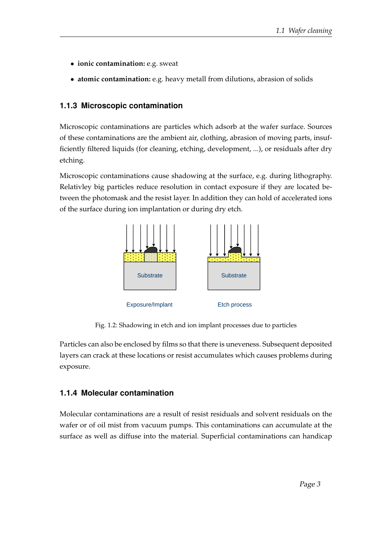- **ionic contamination:** e.g. sweat
- **atomic contamination:** e.g. heavy metall from dilutions, abrasion of solids

### **1.1.3 Microscopic contamination**

Microscopic contaminations are particles which adsorb at the wafer surface. Sources of these contaminations are the ambient air, clothing, abrasion of moving parts, insufficiently filtered liquids (for cleaning, etching, development, ...), or residuals after dry etching.

Microscopic contaminations cause shadowing at the surface, e.g. during lithography. Relativley big particles reduce resolution in contact exposure if they are located between the photomask and the resist layer. In addition they can hold of accelerated ions of the surface during ion implantation or during dry etch.



Fig. 1.2: Shadowing in etch and ion implant processes due to particles

Particles can also be enclosed by films so that there is uneveness. Subsequent deposited layers can crack at these locations or resist accumulates which causes problems during exposure.

### **1.1.4 Molecular contamination**

Molecular contaminations are a result of resist residuals and solvent residuals on the wafer or of oil mist from vacuum pumps. This contaminations can accumulate at the surface as well as diffuse into the material. Superficial contaminations can handicap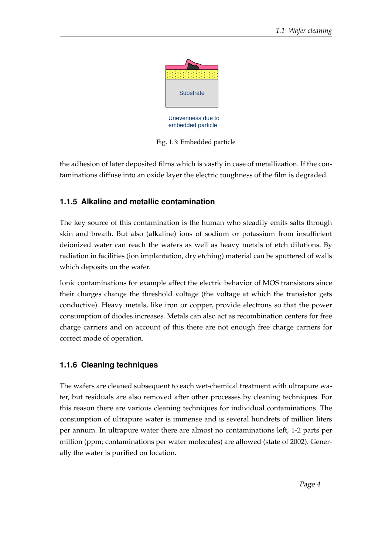

Fig. 1.3: Embedded particle

the adhesion of later deposited films which is vastly in case of metallization. If the contaminations diffuse into an oxide layer the electric toughness of the film is degraded.

## **1.1.5 Alkaline and metallic contamination**

The key source of this contamination is the human who steadily emits salts through skin and breath. But also (alkaline) ions of sodium or potassium from insufficient deionized water can reach the wafers as well as heavy metals of etch dilutions. By radiation in facilities (ion implantation, dry etching) material can be sputtered of walls which deposits on the wafer.

Ionic contaminations for example affect the electric behavior of MOS transistors since their charges change the threshold voltage (the voltage at which the transistor gets conductive). Heavy metals, like iron or copper, provide electrons so that the power consumption of diodes increases. Metals can also act as recombination centers for free charge carriers and on account of this there are not enough free charge carriers for correct mode of operation.

### **1.1.6 Cleaning techniques**

The wafers are cleaned subsequent to each wet-chemical treatment with ultrapure water, but residuals are also removed after other processes by cleaning techniques. For this reason there are various cleaning techniques for individual contaminations. The consumption of ultrapure water is immense and is several hundrets of million liters per annum. In ultrapure water there are almost no contaminations left, 1-2 parts per million (ppm; contaminations per water molecules) are allowed (state of 2002). Generally the water is purified on location.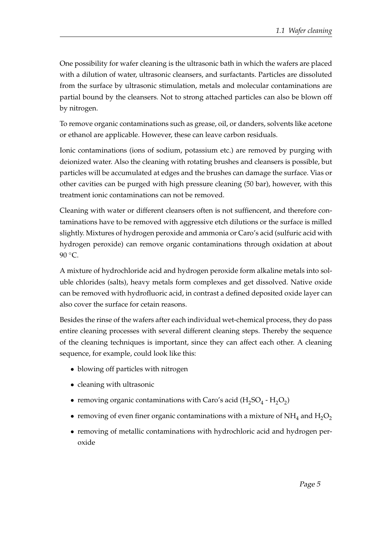One possibility for wafer cleaning is the ultrasonic bath in which the wafers are placed with a dilution of water, ultrasonic cleansers, and surfactants. Particles are dissoluted from the surface by ultrasonic stimulation, metals and molecular contaminations are partial bound by the cleansers. Not to strong attached particles can also be blown off by nitrogen.

To remove organic contaminations such as grease, oil, or danders, solvents like acetone or ethanol are applicable. However, these can leave carbon residuals.

Ionic contaminations (ions of sodium, potassium etc.) are removed by purging with deionized water. Also the cleaning with rotating brushes and cleansers is possible, but particles will be accumulated at edges and the brushes can damage the surface. Vias or other cavities can be purged with high pressure cleaning (50 bar), however, with this treatment ionic contaminations can not be removed.

Cleaning with water or different cleansers often is not suffiencent, and therefore contaminations have to be removed with aggressive etch dilutions or the surface is milled slightly. Mixtures of hydrogen peroxide and ammonia or Caro's acid (sulfuric acid with hydrogen peroxide) can remove organic contaminations through oxidation at about 90 °C.

A mixture of hydrochloride acid and hydrogen peroxide form alkaline metals into soluble chlorides (salts), heavy metals form complexes and get dissolved. Native oxide can be removed with hydrofluoric acid, in contrast a defined deposited oxide layer can also cover the surface for cetain reasons.

Besides the rinse of the wafers after each individual wet-chemical process, they do pass entire cleaning processes with several different cleaning steps. Thereby the sequence of the cleaning techniques is important, since they can affect each other. A cleaning sequence, for example, could look like this:

- blowing off particles with nitrogen
- cleaning with ultrasonic
- removing organic contaminations with Caro's acid ( $H_2SO_4$   $H_2O_2$ )
- removing of even finer organic contaminations with a mixture of  $NH_4$  and  $H_2O_2$
- removing of metallic contaminations with hydrochloric acid and hydrogen peroxide